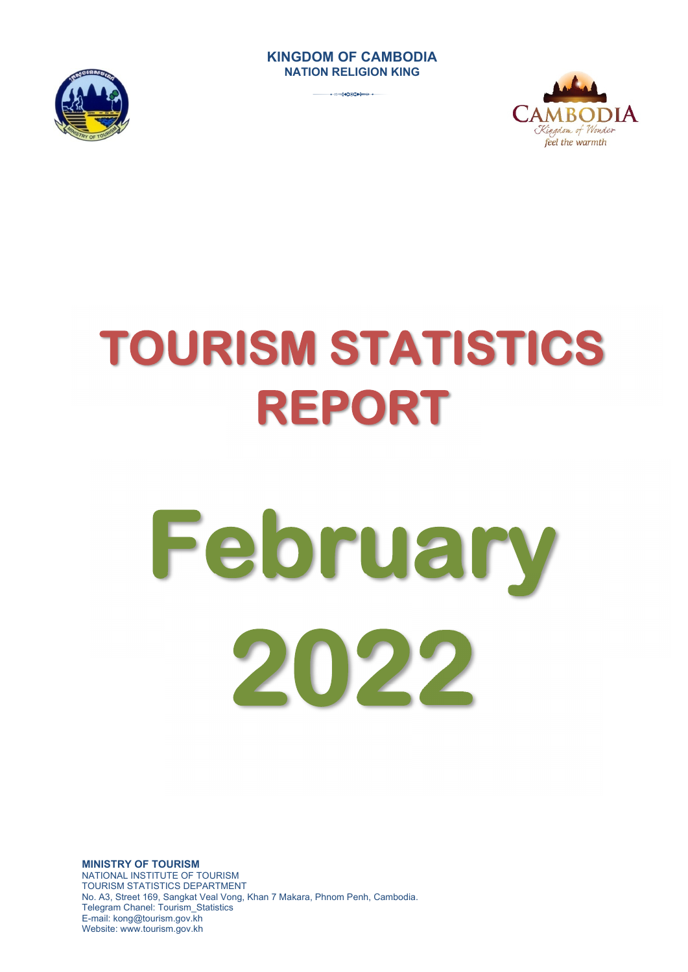# **KINGDOM OF CAMBODIA NATION RELIGION KING**

3







# **February 2022**

**MINISTRY OF TOURISM**  NATIONAL INSTITUTE OF TOURISM TOURISM STATISTICS DEPARTMENT No. A3, Street 169, Sangkat Veal Vong, Khan 7 Makara, Phnom Penh, Cambodia. Telegram Chanel: Tourism\_Statistics E-mail: kong@tourism.gov.kh Website: www.tourism.gov.kh

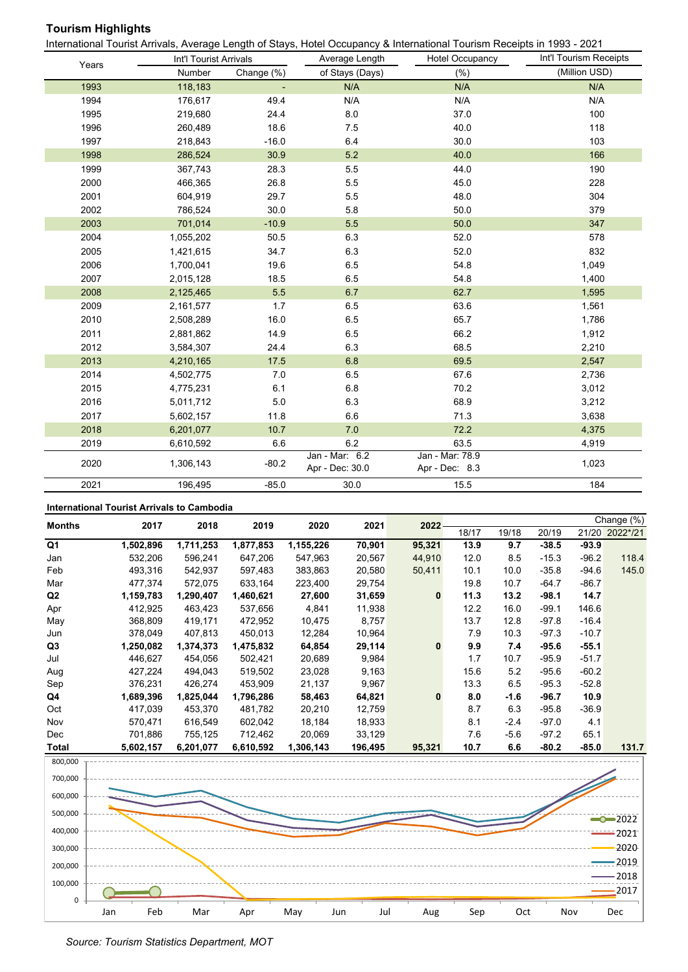# **Tourism Highlights**

International Tourist Arrivals, Average Length of Stays, Hotel Occupancy & International Tourism Receipts in 1993 - 2021

|       | Int'l Tourist Arrivals |            | Average Length                    | <b>Hotel Occupancy</b>            | Int'l Tourism Receipts |
|-------|------------------------|------------|-----------------------------------|-----------------------------------|------------------------|
| Years | Number                 | Change (%) | of Stays (Days)                   | (% )                              | (Million USD)          |
| 1993  | 118,183                |            | N/A                               | N/A                               | N/A                    |
| 1994  | 176,617                | 49.4       | N/A                               | N/A                               | N/A                    |
| 1995  | 219,680                | 24.4       | 8.0                               | 37.0                              | 100                    |
| 1996  | 260,489                | 18.6       | 7.5                               | 40.0                              | 118                    |
| 1997  | 218,843                | $-16.0$    | 6.4                               | 30.0                              | 103                    |
| 1998  | 286,524                | 30.9       | 5.2                               | 40.0                              | 166                    |
| 1999  | 367,743                | 28.3       | 5.5                               | 44.0                              | 190                    |
| 2000  | 466,365                | 26.8       | 5.5                               | 45.0                              | 228                    |
| 2001  | 604,919                | 29.7       | 5.5                               | 48.0                              | 304                    |
| 2002  | 786,524                | 30.0       | 5.8                               | 50.0                              | 379                    |
| 2003  | 701,014                | $-10.9$    | 5.5                               | 50.0                              | 347                    |
| 2004  | 1,055,202              | 50.5       | 6.3                               | 52.0                              | 578                    |
| 2005  | 1,421,615              | 34.7       | 6.3                               | 52.0                              | 832                    |
| 2006  | 1,700,041              | 19.6       | 6.5                               | 54.8                              | 1,049                  |
| 2007  | 2,015,128              | 18.5       | 6.5                               | 54.8                              | 1,400                  |
| 2008  | 2,125,465              | 5.5        | 6.7                               | 62.7                              | 1,595                  |
| 2009  | 2,161,577              | 1.7        | 6.5                               | 63.6                              | 1,561                  |
| 2010  | 2,508,289              | 16.0       | 6.5                               | 65.7                              | 1,786                  |
| 2011  | 2,881,862              | 14.9       | 6.5                               | 66.2                              | 1,912                  |
| 2012  | 3,584,307              | 24.4       | 6.3                               | 68.5                              | 2,210                  |
| 2013  | 4,210,165              | 17.5       | 6.8                               | 69.5                              | 2,547                  |
| 2014  | 4,502,775              | 7.0        | 6.5                               | 67.6                              | 2,736                  |
| 2015  | 4,775,231              | 6.1        | $6.8\,$                           | 70.2                              | 3,012                  |
| 2016  | 5,011,712              | $5.0\,$    | 6.3                               | 68.9                              | 3,212                  |
| 2017  | 5,602,157              | 11.8       | 6.6                               | 71.3                              | 3,638                  |
| 2018  | 6,201,077              | 10.7       | 7.0                               | 72.2                              | 4,375                  |
| 2019  | 6,610,592              | 6.6        | 6.2                               | 63.5                              | 4,919                  |
| 2020  | 1,306,143              | $-80.2$    | Jan - Mar: 6.2<br>Apr - Dec: 30.0 | Jan - Mar: 78.9<br>Apr - Dec: 8.3 | 1,023                  |
| 2021  | 196,495                | $-85.0$    | 30.0                              | 15.5                              | 184                    |

## **International Tourist Arrivals to Cambodia**

| <b>Months</b>  | 2017      | 2018      | 2019      | 2020      | 2021   | 2022         |       |        |         |         | Change (%)     |  |
|----------------|-----------|-----------|-----------|-----------|--------|--------------|-------|--------|---------|---------|----------------|--|
|                |           |           |           |           |        |              | 18/17 | 19/18  | 20/19   |         | 21/20 2022*/21 |  |
| Q1             | 1,502,896 | 1,711,253 | 1,877,853 | 1,155,226 | 70,901 | 95,321       | 13.9  | 9.7    | $-38.5$ | $-93.9$ |                |  |
| Jan            | 532,206   | 596,241   | 647,206   | 547,963   | 20,567 | 44,910       | 12.0  | 8.5    | $-15.3$ | $-96.2$ | 118.4          |  |
| Feb            | 493,316   | 542,937   | 597,483   | 383,863   | 20,580 | 50,411       | 10.1  | 10.0   | $-35.8$ | $-94.6$ | 145.0          |  |
| Mar            | 477,374   | 572,075   | 633,164   | 223,400   | 29,754 |              | 19.8  | 10.7   | $-64.7$ | $-86.7$ |                |  |
| Q <sub>2</sub> | 1,159,783 | 1,290,407 | 1,460,621 | 27,600    | 31,659 | $\mathbf{0}$ | 11.3  | 13.2   | $-98.1$ | 14.7    |                |  |
| Apr            | 412,925   | 463,423   | 537,656   | 4,841     | 11,938 |              | 12.2  | 16.0   | $-99.1$ | 146.6   |                |  |
| May            | 368,809   | 419,171   | 472,952   | 10,475    | 8,757  |              | 13.7  | 12.8   | $-97.8$ | $-16.4$ |                |  |
| Jun            | 378,049   | 407,813   | 450,013   | 12,284    | 10,964 |              | 7.9   | 10.3   | $-97.3$ | $-10.7$ |                |  |
| Q3             | 1,250,082 | 1,374,373 | 1,475,832 | 64,854    | 29,114 | $\bf{0}$     | 9.9   | 7.4    | $-95.6$ | $-55.1$ |                |  |
| Jul            | 446.627   | 454,056   | 502,421   | 20,689    | 9,984  |              | 1.7   | 10.7   | $-95.9$ | $-51.7$ |                |  |
| Aug            | 427,224   | 494,043   | 519,502   | 23,028    | 9,163  |              | 15.6  | 5.2    | $-95.6$ | $-60.2$ |                |  |
| Sep            | 376,231   | 426,274   | 453,909   | 21,137    | 9,967  |              | 13.3  | 6.5    | $-95.3$ | $-52.8$ |                |  |
| Q4             | 1,689,396 | 1,825,044 | 1,796,286 | 58,463    | 64,821 | $\mathbf{0}$ | 8.0   | -1.6   | $-96.7$ | 10.9    |                |  |
| Oct            | 417,039   | 453,370   | 481,782   | 20,210    | 12,759 |              | 8.7   | 6.3    | $-95.8$ | $-36.9$ |                |  |
| Nov            | 570,471   | 616,549   | 602,042   | 18,184    | 18,933 |              | 8.1   | $-2.4$ | $-97.0$ | 4.1     |                |  |
| Dec            | 701.886   | 755,125   | 712.462   | 20,069    | 33,129 |              | 7.6   | -5.6   | $-97.2$ | 65.1    |                |  |
|                |           |           |           |           |        |              |       |        |         |         |                |  |

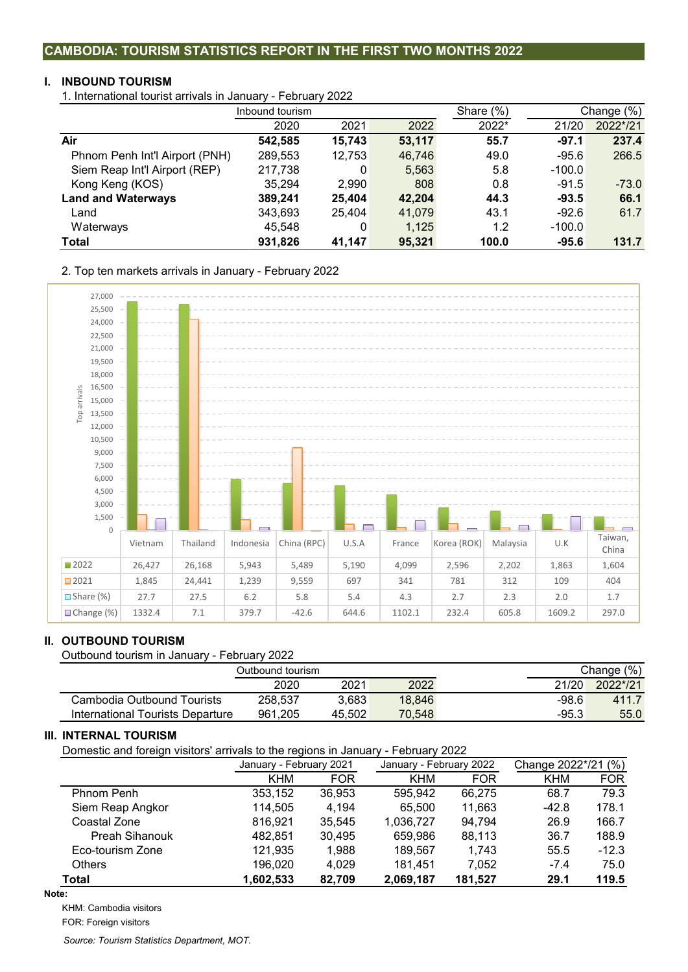# **CAMBODIA: TOURISM STATISTICS REPORT IN THE FIRST TWO MONTHS 2022**

# **I. INBOUND TOURISM**

1. International tourist arrivals in January - February 2022

|                                | Inbound tourism |        |        | Share $(\%)$ |          | Change (%) |
|--------------------------------|-----------------|--------|--------|--------------|----------|------------|
|                                | 2020            | 2021   | 2022   | 2022*        | 21/20    | 2022*/21   |
| Air                            | 542,585         | 15,743 | 53,117 | 55.7         | $-97.1$  | 237.4      |
| Phnom Penh Int'l Airport (PNH) | 289,553         | 12,753 | 46,746 | 49.0         | $-95.6$  | 266.5      |
| Siem Reap Int'l Airport (REP)  | 217,738         | 0      | 5,563  | 5.8          | $-100.0$ |            |
| Kong Keng (KOS)                | 35,294          | 2,990  | 808    | 0.8          | $-91.5$  | $-73.0$    |
| <b>Land and Waterways</b>      | 389.241         | 25.404 | 42,204 | 44.3         | $-93.5$  | 66.1       |
| Land                           | 343,693         | 25.404 | 41,079 | 43.1         | $-92.6$  | 61.7       |
| Waterways                      | 45,548          | 0      | 1,125  | 1.2          | $-100.0$ |            |
| Total                          | 931,826         | 41.147 | 95,321 | 100.0        | $-95.6$  | 131.7      |

2. Top ten markets arrivals in January - February 2022



## **II. OUTBOUND TOURISM**

Outbound tourism in January - February 2022

|                                  | Outbound tourism. |        |        |       | Change (%) |
|----------------------------------|-------------------|--------|--------|-------|------------|
|                                  | 2020              | 2021   | 2022   | 21/20 | 2022*/21   |
| Cambodia Outbound Tourists       | 258.537           | 3.683  | 18.846 | -98.6 | 411.7      |
| International Tourists Departure | 961.205           | 45.502 | 70.548 | -95.3 | 55.0       |

#### **III. INTERNAL TOURISM**

Domestic and foreign visitors' arrivals to the regions in January - February 2022

| ັ                     | ັ          |                         |            |                         |                     |            |  |
|-----------------------|------------|-------------------------|------------|-------------------------|---------------------|------------|--|
|                       |            | January - February 2021 |            | January - February 2022 | Change 2022*/21 (%) |            |  |
|                       | <b>KHM</b> | <b>FOR</b>              | <b>KHM</b> | <b>FOR</b>              | <b>KHM</b>          | <b>FOR</b> |  |
| Phnom Penh            | 353,152    | 36,953                  | 595.942    | 66.275                  | 68.7                | 79.3       |  |
| Siem Reap Angkor      | 114,505    | 4.194                   | 65.500     | 11,663                  | $-42.8$             | 178.1      |  |
| Coastal Zone          | 816,921    | 35,545                  | 1,036,727  | 94,794                  | 26.9                | 166.7      |  |
| <b>Preah Sihanouk</b> | 482.851    | 30,495                  | 659.986    | 88,113                  | 36.7                | 188.9      |  |
| Eco-tourism Zone      | 121,935    | 1.988                   | 189.567    | 1.743                   | 55.5                | $-12.3$    |  |
| <b>Others</b>         | 196,020    | 4.029                   | 181.451    | 7.052                   | $-7.4$              | 75.0       |  |
| <b>Total</b>          | 1,602,533  | 82,709                  | 2,069,187  | 181,527                 | 29.1                | 119.5      |  |

**Note:**

KHM: Cambodia visitors

FOR: Foreign visitors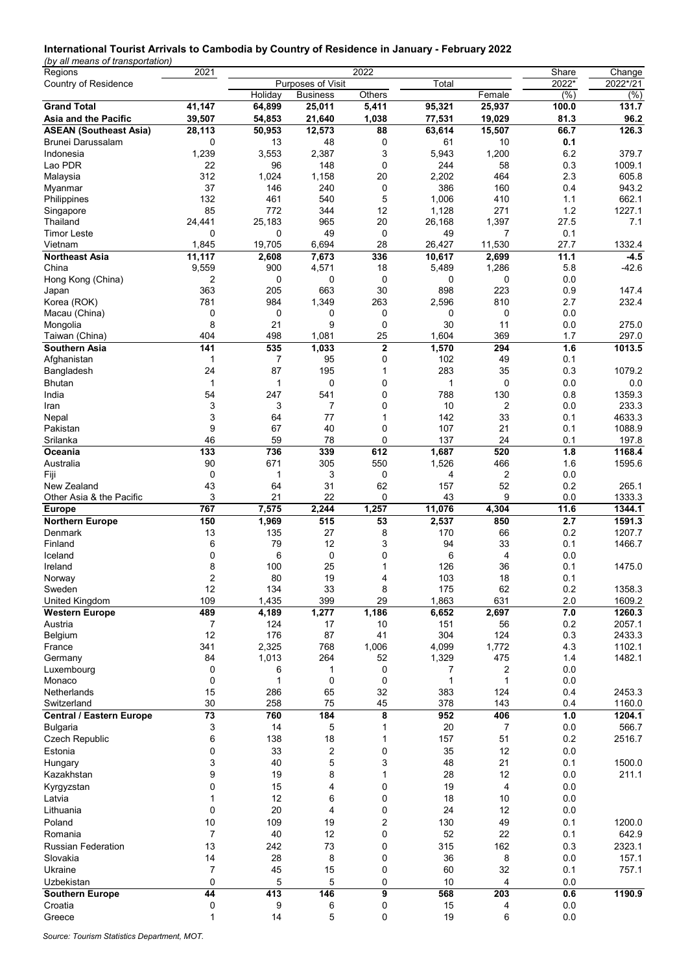#### **International Tourist Arrivals to Cambodia by Country of Residence in January - February 2022**

*(by all means of transportation)*

| Regions                         | 2021           |              |                   | 2022        |                   |                         | Share      | Change           |
|---------------------------------|----------------|--------------|-------------------|-------------|-------------------|-------------------------|------------|------------------|
| Country of Residence            |                |              | Purposes of Visit |             | Total             |                         | 2022*      | 2022*/21         |
|                                 |                | Holiday      | <b>Business</b>   | Others      |                   | Female                  | (%)        | $(\%)$           |
| <b>Grand Total</b>              | 41,147         | 64,899       | 25,011            | 5,411       | 95,321            | 25,937                  | 100.0      | 131.7            |
| Asia and the Pacific            | 39,507         | 54,853       | 21,640            | 1,038       | 77,531            | 19,029                  | 81.3       | 96.2             |
| <b>ASEAN (Southeast Asia)</b>   | 28,113         | 50,953       | 12,573            | 88          | 63,614            | 15,507                  | 66.7       | 126.3            |
| <b>Brunei Darussalam</b>        | 0              | 13           | 48                | 0           | 61                | 10                      | 0.1        |                  |
| Indonesia                       | 1,239          | 3,553        | 2,387             | 3           | 5,943             | 1,200                   | 6.2        | 379.7            |
| Lao PDR                         | 22             | 96           | 148               | 0           | 244               | 58                      | 0.3        | 1009.1           |
| Malaysia                        | 312            | 1,024        | 1,158             | 20          | 2,202             | 464                     | 2.3        | 605.8            |
| Myanmar                         | 37             | 146          | 240               | 0           | 386               | 160                     | 0.4        | 943.2            |
| Philippines                     | 132            | 461          | 540               | 5           | 1,006             | 410                     | 1.1        | 662.1            |
| Singapore                       | 85             | 772          | 344               | 12          | 1,128             | 271                     | 1.2        | 1227.1           |
| Thailand                        | 24,441         | 25,183       | 965               | 20          | 26,168            | 1,397                   | 27.5       | 7.1              |
| <b>Timor Leste</b>              | 0              | 0            | 49                | 0           | 49                | 7                       | 0.1        |                  |
| Vietnam                         | 1,845          | 19,705       | 6,694             | 28          | 26,427            | 11,530                  | 27.7       | 1332.4           |
| <b>Northeast Asia</b>           | 11,117         | 2,608        | 7,673             | 336         | 10,617            | 2,699                   | 11.1       | $-4.5$           |
| China                           | 9,559          | 900          | 4,571             | 18          | 5,489             | 1,286                   | 5.8        | $-42.6$          |
| Hong Kong (China)               | 2              | 0            | 0                 | 0           | 0                 | 0                       | 0.0        |                  |
| Japan                           | 363            | 205          | 663               | 30          | 898               | 223                     | 0.9        | 147.4            |
| Korea (ROK)                     | 781            | 984          | 1,349             | 263         | 2,596             | 810                     | 2.7        | 232.4            |
| Macau (China)                   | 0              | 0            | 0                 | 0           | 0                 | 0                       | 0.0        |                  |
| Mongolia                        | 8              | 21           | 9                 | 0           | 30                | 11                      | 0.0        | 275.0            |
| Taiwan (China)                  | 404            | 498          | 1,081             | 25          | 1,604             | 369                     | 1.7        | 297.0            |
| <b>Southern Asia</b>            | 141            | 535          | 1,033             | $\mathbf 2$ | 1,570             | 294                     | 1.6        | 1013.5           |
| Afghanistan                     | 1              | 7            | 95                | 0           | 102               | 49                      | 0.1        |                  |
| Bangladesh                      | 24             | 87           | 195               | 1           | 283               | 35                      | 0.3        | 1079.2           |
| Bhutan                          | 1              | 1            | 0                 | 0           | $\mathbf{1}$      | 0                       | 0.0        | 0.0              |
| India                           | 54             | 247          | 541               | 0           | 788               | 130                     | 0.8        | 1359.3           |
| Iran                            | 3              | 3            | 7                 | 0           | 10                | $\overline{2}$          | 0.0        | 233.3            |
| Nepal                           | 3              | 64           | 77                | 1           | 142               | 33                      | 0.1        | 4633.3           |
| Pakistan                        | 9              | 67           | 40                | 0           | 107               | 21                      | 0.1        | 1088.9           |
| Srilanka                        | 46             | 59           | 78                | 0           | 137               | 24                      | 0.1        | 197.8            |
| Oceania                         | 133            | 736          | 339               | 612         | 1,687             | 520                     | 1.8        | 1168.4           |
| Australia                       | 90             | 671          | 305               | 550         | 1,526             | 466                     | 1.6        | 1595.6           |
| Fiji                            | 0              | $\mathbf{1}$ | 3                 | 0           | 4                 | $\overline{2}$          | 0.0        |                  |
| New Zealand                     | 43             | 64           | 31                | 62          | 157               | 52                      | 0.2        | 265.1            |
| Other Asia & the Pacific        | 3              | 21           | 22                | 0           | 43                | 9                       | 0.0        | 1333.3           |
| <b>Europe</b>                   | 767            | 7,575        | 2,244             | 1,257       | 11,076            | 4,304                   | 11.6       | 1344.1           |
| <b>Northern Europe</b>          | 150            | 1,969        | 515               | 53          | 2,537             | 850                     | 2.7        | 1591.3           |
| Denmark                         | 13             | 135          | 27                | 8           | 170               | 66                      | 0.2        | 1207.7           |
| Finland                         | 6              | 79           | 12                | 3           | 94                | 33                      | 0.1        | 1466.7           |
| Iceland                         | 0              | 6            | 0                 | 0           | 6                 | 4                       | 0.0        |                  |
| Ireland                         | 8              | 100          | 25                | 1           | 126               | 36                      | 0.1        | 1475.0           |
| Norway                          | $\overline{2}$ | 80           | 19                | 4           | 103               | 18                      | 0.1        |                  |
| Sweden                          | 12             | 134          | 33                | 8           | 175               | 62                      | 0.2        | 1358.3           |
| United Kingdom                  | 109            | 1,435        | 399               | 29          | 1,863             | 631                     | 2.0        | 1609.2           |
| <b>Western Europe</b>           | 489            | 4,189        | 1,277             | 1,186       | 6,652             | 2,697                   | 7.0        | 1260.3           |
| Austria                         | 7              | 124          | 17                | 10<br>41    | 151               | 56                      | 0.2        | 2057.1           |
| Belgium                         | 12             | 176<br>2,325 | 87<br>768         | 1,006       | 304               | 124<br>1,772            | 0.3        | 2433.3<br>1102.1 |
| France                          | 341<br>84      |              |                   |             | 4,099             | 475                     | 4.3<br>1.4 | 1482.1           |
| Germany                         |                | 1,013        | 264               | 52          | 1,329             |                         |            |                  |
| Luxembourg<br>Monaco            | 0<br>0         | 6<br>1       | 1<br>0            | 0<br>0      | 7<br>$\mathbf{1}$ | 2<br>$\mathbf{1}$       | 0.0<br>0.0 |                  |
| Netherlands                     | 15             | 286          | 65                | 32          | 383               | 124                     | 0.4        | 2453.3           |
| Switzerland                     | 30             | 258          | 75                | 45          | 378               | 143                     | 0.4        | 1160.0           |
| <b>Central / Eastern Europe</b> | 73             | 760          | 184               | 8           | 952               | 406                     | 1.0        | 1204.1           |
| <b>Bulgaria</b>                 | 3              | 14           | 5                 | 1           | 20                | 7                       | 0.0        | 566.7            |
| <b>Czech Republic</b>           | 6              | 138          | 18                | 1           | 157               | 51                      | 0.2        | 2516.7           |
|                                 |                | 33           |                   |             | 35                | 12                      |            |                  |
| Estonia                         | 0<br>3         | 40           | 2<br>5            | 0           | 48                | 21                      | 0.0<br>0.1 | 1500.0           |
| Hungary                         |                |              |                   | 3           |                   |                         |            |                  |
| Kazakhstan                      | 9              | 19           | 8                 | 1           | 28                | 12                      | 0.0        | 211.1            |
| Kyrgyzstan                      | 0              | 15           | 4                 | 0           | 19                | $\overline{4}$          | 0.0        |                  |
| Latvia                          | 1              | 12           | 6                 | 0           | 18                | 10                      | 0.0        |                  |
| Lithuania                       | 0              | 20           | 4                 | 0           | 24                | 12                      | 0.0        |                  |
| Poland                          | 10             | 109          | 19                | 2           | 130               | 49                      | 0.1        | 1200.0           |
| Romania                         | $\overline{7}$ | 40           | 12                | 0           | 52                | 22                      | 0.1        | 642.9            |
| <b>Russian Federation</b>       | 13             | 242          | 73                | 0           | 315               | 162                     | 0.3        | 2323.1           |
| Slovakia                        | 14             | 28           | 8                 | 0           | 36                | 8                       | 0.0        | 157.1            |
| Ukraine                         | $\overline{7}$ | 45           | 15                | 0           | 60                | 32                      | 0.1        | 757.1            |
| Uzbekistan                      | 0              | 5            | 5                 | $\pmb{0}$   | 10                | $\overline{\mathbf{4}}$ | 0.0        |                  |
| <b>Southern Europe</b>          | 44             | 413          | 146               | 9           | 568               | 203                     | 0.6        | 1190.9           |
| Croatia                         | 0              | 9            | 6                 | 0           | 15                | 4                       | 0.0        |                  |
| Greece                          | $\mathbf{1}$   | 14           | 5                 | 0           | 19                | 6                       | 0.0        |                  |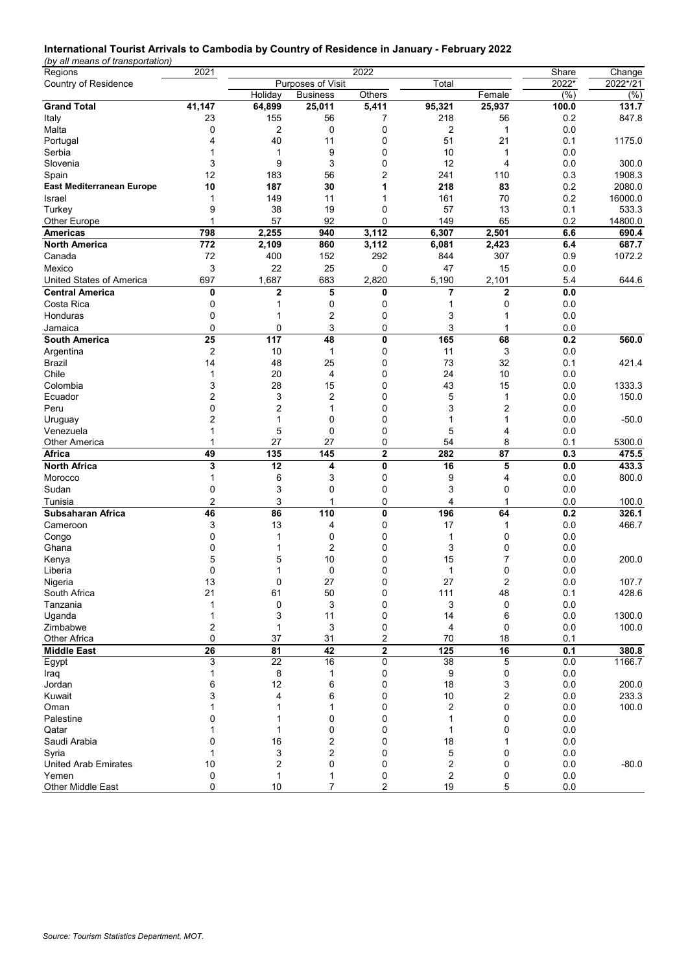# **International Tourist Arrivals to Cambodia by Country of Residence in January - February 2022**

*(by all means of transportation)*

| Regions                              | 2021    |                                              |                     | Share        | Change         |                         |                |          |
|--------------------------------------|---------|----------------------------------------------|---------------------|--------------|----------------|-------------------------|----------------|----------|
| <b>Country of Residence</b>          |         |                                              | Purposes of Visit   |              | Total          |                         | 2022*          | 2022*/21 |
|                                      |         | Holiday                                      | <b>Business</b>     | Others       |                | Female                  | (%)            | $(\%)$   |
| <b>Grand Total</b>                   | 41,147  | 64,899                                       | 25,011              | 5,411        | 95,321         | 25,937                  | 100.0          | 131.7    |
| Italy                                | 23      | 155                                          | 56                  | 7            | 218            | 56                      | 0.2            | 847.8    |
| Malta                                | 0       | 2                                            | $\mathbf 0$         | 0            | 2              | $\mathbf{1}$            | 0.0            |          |
| Portugal                             | 4       | 40                                           | 11                  | 0            | 51             | 21                      | 0.1            | 1175.0   |
| Serbia                               | 1       | 1                                            | 9                   | 0            | 10             | 1                       | 0.0            |          |
| Slovenia                             | 3       | 9                                            | 3                   | 0            | 12             | 4                       | 0.0            | 300.0    |
| Spain                                | 12      | 183                                          | 56                  | 2            | 241            | 110                     | 0.3            | 1908.3   |
| <b>East Mediterranean Europe</b>     | 10      | 187                                          | 30                  | 1            | 218            | 83                      | 0.2            | 2080.0   |
| Israel                               | 1       | 149                                          | 11                  |              | 161            | 70                      | 0.2            | 16000.0  |
| Turkey                               | 9       | 38                                           | 19                  | 0            | 57             | 13                      | 0.1            | 533.3    |
| Other Europe                         | 1       | 57                                           | 92                  | 0            | 149            | 65                      | 0.2            | 14800.0  |
| <b>Americas</b>                      | 798     | 2,255                                        | 940                 | 3,112        | 6,307          | 2,501                   | 6.6            | 690.4    |
| North America                        | 772     | 2,109                                        | 860                 | 3,112        | 6,081          | 2,423                   | 6.4            | 687.7    |
| Canada                               | 72      | 400                                          | 152                 | 292          | 844            | 307                     | 0.9            | 1072.2   |
| Mexico                               | 3       | 22                                           | 25                  | 0            | 47             | 15                      | 0.0            |          |
| United States of America             | 697     | 1,687                                        | 683                 | 2,820        | 5,190          | 2,101                   | 5.4            | 644.6    |
| <b>Central America</b>               | 0       | $\overline{2}$                               | 5                   | 0            | $\overline{7}$ | $\mathbf 2$             | 0.0            |          |
| Costa Rica                           | 0       | 1                                            | 0                   | 0            | 1              | 0                       | 0.0            |          |
| Honduras                             | 0       | 1                                            | 2                   | 0            | 3              | 1                       | 0.0            |          |
| Jamaica                              | 0       | 0                                            | 3                   | 0            | 3              | 1                       | 0.0            |          |
| <b>South America</b>                 | 25      | 117                                          | 48                  | 0            | 165            | 68                      | 0.2            | 560.0    |
|                                      | 2       | 10                                           | $\mathbf{1}$        | 0            | 11             | 3                       | 0.0            |          |
| Argentina<br>Brazil                  | 14      | 48                                           | 25                  | 0            | 73             | 32                      | 0.1            | 421.4    |
| Chile                                | 1       | 20                                           | 4                   | 0            | 24             | 10                      | 0.0            |          |
| Colombia                             | 3       | 28                                           | 15                  | 0            | 43             | 15                      | 0.0            | 1333.3   |
| Ecuador                              | 2       | 3                                            | 2                   | 0            | 5              | 1                       | 0.0            | 150.0    |
| Peru                                 | 0       | 2                                            | 1                   | 0            | 3              | 2                       | 0.0            |          |
|                                      | 2       | 1                                            | $\mathbf 0$         | 0            | 1              | 1                       | 0.0            | $-50.0$  |
| Uruguay<br>Venezuela                 | 1       | 5                                            | 0                   | 0            | 5              | 4                       | 0.0            |          |
| <b>Other America</b>                 | 1       | 27                                           | 27                  | 0            | 54             | 8                       | 0.1            | 5300.0   |
| Africa                               | 49      | $\overline{135}$                             | 145                 | $\mathbf 2$  | 282            | 87                      | 0.3            | 475.5    |
| <b>North Africa</b>                  | 3       | 12                                           | 4                   | 0            | 16             | 5                       | 0.0            | 433.3    |
| Morocco                              | 1       | 6                                            | 3                   | 0            | 9              | 4                       | 0.0            | 800.0    |
| Sudan                                | 0       | 3                                            | $\mathbf 0$         | 0            | 3              | 0                       | 0.0            |          |
| Tunisia                              | 2       | 3                                            | 1                   | 0            | 4              | 1                       | 0.0            | 100.0    |
| Subsaharan Africa                    | 46      | 86                                           | 110                 | 0            | 196            | 64                      | 0.2            | 326.1    |
|                                      |         | 13                                           | 4                   | 0            | 17             | 1                       |                |          |
| Cameroon                             | 3<br>0  | 1                                            | 0                   | 0            | 1              | 0                       | 0.0<br>0.0     | 466.7    |
| Congo                                |         | 1                                            |                     | 0            |                |                         |                |          |
| Ghana                                | 0<br>5  |                                              | 2<br>10             | 0            | 3<br>15        | 0<br>7                  | 0.0            |          |
| Kenya                                | 0       | 5                                            | 0                   | 0            | 1              | 0                       | 0.0            | 200.0    |
| Liberia                              | 13      | 0                                            | 27                  | <sup>0</sup> | 27             | $\overline{2}$          | 0.0<br>$0.0\,$ |          |
| Nigeria                              | 21      | 61                                           |                     |              |                |                         |                | 107.7    |
| South Africa                         |         |                                              | 50                  | 0            | 111            | 48                      | 0.1            | 428.6    |
| Tanzania<br>Uganda                   | 1<br>1  | 0<br>3                                       | 3<br>11             | 0<br>0       | 3<br>14        | 0<br>6                  | 0.0<br>0.0     | 1300.0   |
| Zimbabwe                             | 2       | 1                                            | 3                   | 0            | 4              | 0                       | $0.0\,$        | 100.0    |
| Other Africa                         | 0       | 37                                           | 31                  | 2            | 70             | 18                      | 0.1            |          |
|                                      | 26      | $\overline{\overline{\mathbf{8}}\mathbf{1}}$ | 42                  | $\mathbf 2$  | 125            | 16                      | 0.1            | 380.8    |
| <b>Middle East</b>                   | 3       | 22                                           | 16                  | 0            | 38             | 5                       | 0.0            | 1166.7   |
| Egypt                                |         |                                              |                     |              | 9              |                         |                |          |
| Iraq                                 | 1       | 8<br>12                                      | 1                   | 0<br>0       |                | 0                       | 0.0            |          |
| Jordan                               | 6<br>3  |                                              | 6                   |              | 18             | 3                       | 0.0            | 200.0    |
| Kuwait                               | 1       | 4                                            | 6                   | 0            | $10$           | $\overline{\mathbf{c}}$ | 0.0            | 233.3    |
| Oman                                 |         | 1                                            | 1                   | 0            | 2              | 0                       | $0.0\,$        | 100.0    |
| Palestine                            | 0<br>1  |                                              | 0                   | 0            | 1              | 0                       | 0.0            |          |
| Qatar<br>Saudi Arabia                | 0       | 1                                            | 0                   | 0<br>0       | 1              | 0                       | $0.0\,$        |          |
|                                      | 1       | 16<br>3                                      | 2<br>2              | 0            | $18$<br>5      | 0                       | $0.0\,$        |          |
| Syria                                |         |                                              |                     |              |                |                         | 0.0            |          |
| <b>United Arab Emirates</b><br>Yemen | 10<br>0 | 2<br>1                                       | 0                   | 0<br>0       | 2<br>2         | 0                       | 0.0<br>0.0     | $-80.0$  |
| Other Middle East                    | 0       | 10                                           | 1<br>$\overline{7}$ | 2            | 19             | 0<br>5                  | $0.0\,$        |          |
|                                      |         |                                              |                     |              |                |                         |                |          |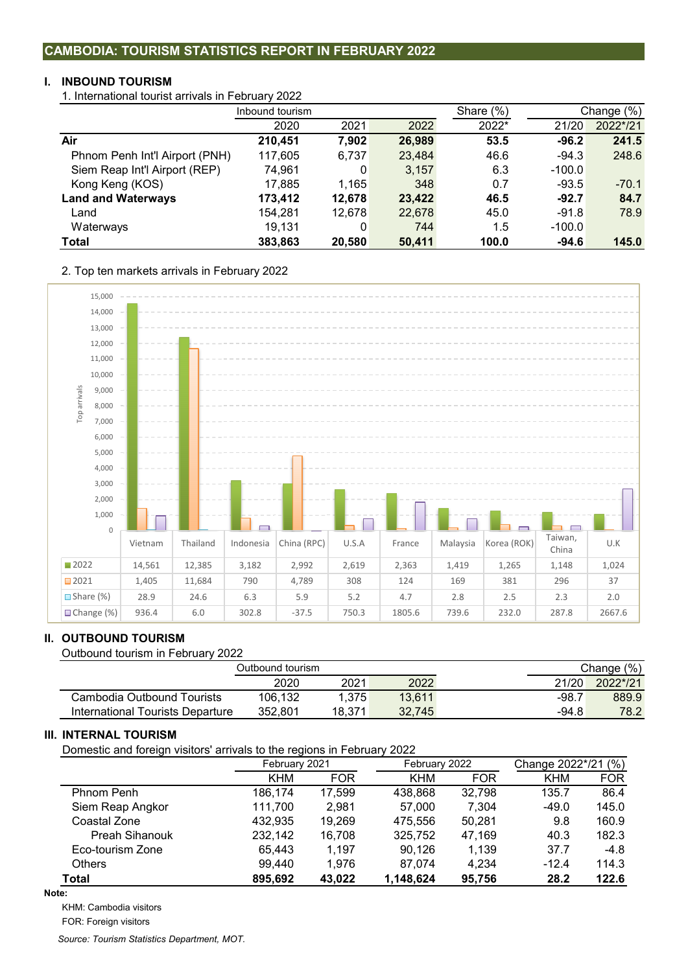# **CAMBODIA: TOURISM STATISTICS REPORT IN FEBRUARY 2022**

# **I. INBOUND TOURISM**

1. International tourist arrivals in February 2022

|                                | Inbound tourism |        |        | Share $(\%)$ | Change (%) |          |
|--------------------------------|-----------------|--------|--------|--------------|------------|----------|
|                                | 2020            | 2021   | 2022   | 2022*        | 21/20      | 2022*/21 |
| Air                            | 210,451         | 7,902  | 26,989 | 53.5         | $-96.2$    | 241.5    |
| Phnom Penh Int'l Airport (PNH) | 117,605         | 6,737  | 23,484 | 46.6         | $-94.3$    | 248.6    |
| Siem Reap Int'l Airport (REP)  | 74,961          | 0      | 3,157  | 6.3          | $-100.0$   |          |
| Kong Keng (KOS)                | 17,885          | 1,165  | 348    | 0.7          | $-93.5$    | $-70.1$  |
| <b>Land and Waterways</b>      | 173.412         | 12,678 | 23,422 | 46.5         | $-92.7$    | 84.7     |
| Land                           | 154.281         | 12.678 | 22,678 | 45.0         | $-91.8$    | 78.9     |
| Waterways                      | 19,131          | 0      | 744    | 1.5          | $-100.0$   |          |
| <b>Total</b>                   | 383,863         | 20,580 | 50,411 | 100.0        | $-94.6$    | 145.0    |

2. Top ten markets arrivals in February 2022



## **II. OUTBOUND TOURISM**

Outbound tourism in February 2022

|                                  | Outbound tourism_ |        |        |         | Change (%) |
|----------------------------------|-------------------|--------|--------|---------|------------|
|                                  | 2020              | 2021   | 2022   | 21/20   | 2022*/21   |
| Cambodia Outbound Tourists       | 106.132           | 1.375  | 13.611 | $-98.7$ | 889.9      |
| International Tourists Departure | 352.801           | 18.371 | 32.745 | $-94.8$ | 78.2       |

## **III. INTERNAL TOURISM**

Domestic and foreign visitors' arrivals to the regions in February 2022

| ີ                | ັ          |               |            |               |                     |            |  |
|------------------|------------|---------------|------------|---------------|---------------------|------------|--|
|                  |            | February 2021 |            | February 2022 | Change 2022*/21 (%) |            |  |
|                  | <b>KHM</b> | <b>FOR</b>    | <b>KHM</b> | <b>FOR</b>    | <b>KHM</b>          | <b>FOR</b> |  |
| Phnom Penh       | 186,174    | 17,599        | 438,868    | 32,798        | 135.7               | 86.4       |  |
| Siem Reap Angkor | 111,700    | 2.981         | 57.000     | 7.304         | $-49.0$             | 145.0      |  |
| Coastal Zone     | 432,935    | 19,269        | 475.556    | 50.281        | 9.8                 | 160.9      |  |
| Preah Sihanouk   | 232,142    | 16,708        | 325,752    | 47.169        | 40.3                | 182.3      |  |
| Eco-tourism Zone | 65,443     | 1.197         | 90.126     | 1.139         | 37.7                | $-4.8$     |  |
| <b>Others</b>    | 99,440     | 1.976         | 87.074     | 4.234         | $-12.4$             | 114.3      |  |
| Total            | 895,692    | 43,022        | 1,148,624  | 95,756        | 28.2                | 122.6      |  |

#### **Note:**

KHM: Cambodia visitors

FOR: Foreign visitors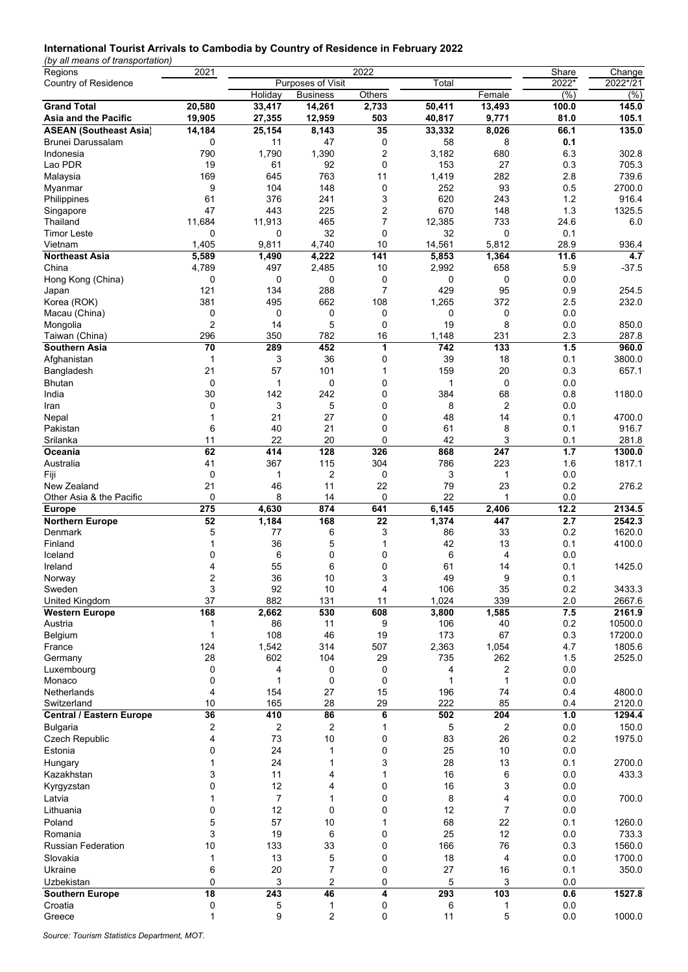# **International Tourist Arrivals to Cambodia by Country of Residence in February 2022**

*(by all means of transportation)*

| Regions                         | 2021            |                |                   | 2022           |              |                | Share | Change   |
|---------------------------------|-----------------|----------------|-------------------|----------------|--------------|----------------|-------|----------|
| <b>Country of Residence</b>     |                 |                | Purposes of Visit |                | Total        |                | 2022* | 2022*/21 |
|                                 |                 | Holiday        | <b>Business</b>   | Others         |              | Female         | (% )  | (%)      |
| <b>Grand Total</b>              | 20,580          | 33,417         | 14,261            | 2,733          | 50,411       | 13,493         | 100.0 | 145.0    |
| Asia and the Pacific            | 19,905          | 27,355         | 12,959            | 503            | 40,817       | 9,771          | 81.0  | 105.1    |
| <b>ASEAN (Southeast Asia)</b>   | 14,184          | 25,154         | 8,143             | 35             | 33,332       | 8,026          | 66.1  | 135.0    |
| Brunei Darussalam               | 0               | 11             | 47                | 0              | 58           | 8              | 0.1   |          |
| Indonesia                       | 790             | 1,790          | 1,390             | 2              | 3,182        | 680            | 6.3   | 302.8    |
| Lao PDR                         | 19              | 61             | 92                | 0              | 153          | 27             | 0.3   | 705.3    |
|                                 | 169             | 645            | 763               | 11             | 1,419        | 282            | 2.8   | 739.6    |
| Malaysia                        |                 |                |                   |                |              |                |       |          |
| Myanmar                         | 9               | 104            | 148               | 0              | 252          | 93             | 0.5   | 2700.0   |
| Philippines                     | 61              | 376            | 241               | 3              | 620          | 243            | 1.2   | 916.4    |
| Singapore                       | 47              | 443            | 225               | 2              | 670          | 148            | 1.3   | 1325.5   |
| Thailand                        | 11,684          | 11,913         | 465               | $\overline{7}$ | 12,385       | 733            | 24.6  | 6.0      |
| <b>Timor Leste</b>              | 0               | 0              | 32                | 0              | 32           | 0              | 0.1   |          |
| Vietnam                         | 1,405           | 9,811          | 4,740             | 10             | 14,561       | 5,812          | 28.9  | 936.4    |
| <b>Northeast Asia</b>           | 5,589           | 1,490          | 4,222             | 141            | 5,853        | 1,364          | 11.6  | 4.7      |
| China                           | 4,789           | 497            | 2,485             | 10             | 2,992        | 658            | 5.9   | $-37.5$  |
| Hong Kong (China)               | 0               | 0              | 0                 | 0              | 0            | 0              | 0.0   |          |
| Japan                           | 121             | 134            | 288               | $\overline{7}$ | 429          | 95             | 0.9   | 254.5    |
| Korea (ROK)                     | 381             | 495            | 662               | 108            | 1,265        | 372            | 2.5   | 232.0    |
| Macau (China)                   | 0               | 0              | 0                 | 0              | 0            | $\mathbf 0$    | 0.0   |          |
| Mongolia                        | $\overline{2}$  | 14             | 5                 | 0              | 19           | 8              | 0.0   | 850.0    |
| Taiwan (China)                  | 296             | 350            | 782               | 16             | 1,148        | 231            | 2.3   | 287.8    |
| <b>Southern Asia</b>            | 70              | 289            | 452               | 1              | 742          | 133            | 1.5   | 960.0    |
| Afghanistan                     | 1               | 3              | 36                | 0              | 39           | 18             | 0.1   | 3800.0   |
| Bangladesh                      | 21              | 57             | 101               | 1              | 159          | 20             | 0.3   | 657.1    |
|                                 |                 |                |                   |                |              |                |       |          |
| <b>Bhutan</b>                   | 0               | $\mathbf{1}$   | 0                 | 0              | 1            | $\mathbf 0$    | 0.0   |          |
| India                           | 30              | 142            | 242               | 0              | 384          | 68             | 0.8   | 1180.0   |
| Iran                            | 0               | 3              | 5                 | 0              | 8            | $\overline{2}$ | 0.0   |          |
| Nepal                           | $\mathbf{1}$    | 21             | 27                | 0              | 48           | 14             | 0.1   | 4700.0   |
| Pakistan                        | 6               | 40             | 21                | 0              | 61           | 8              | 0.1   | 916.7    |
| Srilanka                        | 11              | 22             | 20                | $\mathbf 0$    | 42           | 3              | 0.1   | 281.8    |
| Oceania                         | 62              | 414            | 128               | 326            | 868          | 247            | $1.7$ | 1300.0   |
| Australia                       | 41              | 367            | 115               | 304            | 786          | 223            | 1.6   | 1817.1   |
| Fiji                            | 0               | 1              | $\overline{2}$    | 0              | 3            | $\mathbf{1}$   | 0.0   |          |
| New Zealand                     | 21              | 46             | 11                | 22             | 79           | 23             | 0.2   | 276.2    |
| Other Asia & the Pacific        | 0               | 8              | 14                | $\mathbf 0$    | 22           | 1              | 0.0   |          |
| <b>Europe</b>                   | 275             | 4,630          | 874               | 641            | 6,145        | 2,406          | 12.2  | 2134.5   |
| <b>Northern Europe</b>          | 52              | 1,184          | 168               | 22             | 1,374        | 447            | 2.7   | 2542.3   |
| Denmark                         | 5               | 77             | 6                 | 3              | 86           | 33             | 0.2   | 1620.0   |
| Finland                         | 1               | 36             | 5                 | 1              | 42           | 13             | 0.1   | 4100.0   |
| Iceland                         | 0               | 6              | 0                 | 0              | 6            | 4              | 0.0   |          |
| Ireland                         | 4               | 55             | 6                 | 0              | 61           | 14             | 0.1   | 1425.0   |
| Norway                          | $\overline{2}$  | 36             | 10                | 3              | 49           | 9              | 0.1   |          |
| Sweden                          | 3               | 92             | 10                | 4              | 106          | 35             | 0.2   | 3433.3   |
| United Kingdom                  | 37              | 882            | 131               | 11             | 1,024        | 339            | 2.0   | 2667.6   |
|                                 | 168             |                | 530               | 608            | 3,800        |                | 7.5   | 2161.9   |
| <b>Western Europe</b>           |                 | 2,662          |                   |                |              | 1,585          |       |          |
| Austria                         | 1               | 86             | 11                | 9              | 106          | 40             | 0.2   | 10500.0  |
| Belgium                         | $\mathbf{1}$    | 108            | 46                | 19             | 173          | 67             | 0.3   | 17200.0  |
| France                          | 124             | 1,542          | 314               | 507            | 2,363        | 1,054          | 4.7   | 1805.6   |
| Germany                         | 28              | 602            | 104               | 29             | 735          | 262            | 1.5   | 2525.0   |
| Luxembourg                      | 0               | 4              | 0                 | 0              | 4            | 2              | 0.0   |          |
| Monaco                          | 0               | $\mathbf{1}$   | 0                 | 0              | $\mathbf{1}$ | $\mathbf{1}$   | 0.0   |          |
| Netherlands                     | 4               | 154            | 27                | 15             | 196          | 74             | 0.4   | 4800.0   |
| Switzerland                     | 10              | 165            | 28                | 29             | 222          | 85             | 0.4   | 2120.0   |
| <b>Central / Eastern Europe</b> | 36              | 410            | 86                | 6              | 502          | 204            | 1.0   | 1294.4   |
| <b>Bulgaria</b>                 | $\overline{2}$  | 2              | 2                 | 1              | 5            | 2              | 0.0   | 150.0    |
| <b>Czech Republic</b>           | 4               | 73             | 10                | 0              | 83           | 26             | 0.2   | 1975.0   |
| Estonia                         | 0               | 24             | 1                 | 0              | 25           | 10             | 0.0   |          |
| Hungary                         | $\mathbf{1}$    | 24             | 1                 | 3              | 28           | 13             | 0.1   | 2700.0   |
| Kazakhstan                      | 3               | 11             | 4                 | 1              | 16           | 6              | 0.0   | 433.3    |
| Kyrgyzstan                      | 0               | 12             | 4                 | 0              | 16           | 3              | 0.0   |          |
|                                 | $\mathbf{1}$    | $\overline{7}$ | 1                 | 0              | 8            | 4              | 0.0   |          |
| Latvia                          |                 |                |                   |                |              |                |       | 700.0    |
| Lithuania                       | 0               | 12             | 0                 | 0              | 12           | $\overline{7}$ | 0.0   |          |
| Poland                          | 5               | 57             | 10                | $\mathbf{1}$   | 68           | 22             | 0.1   | 1260.0   |
| Romania                         | 3               | 19             | 6                 | 0              | 25           | 12             | 0.0   | 733.3    |
| <b>Russian Federation</b>       | 10              | 133            | 33                | 0              | 166          | 76             | 0.3   | 1560.0   |
| Slovakia                        | 1               | 13             | 5                 | 0              | 18           | $\overline{4}$ | 0.0   | 1700.0   |
| Ukraine                         | 6               | $20\,$         | 7                 | 0              | 27           | 16             | 0.1   | 350.0    |
| Uzbekistan                      | 0               | 3              | 2                 | 0              | 5            | 3              | 0.0   |          |
| <b>Southern Europe</b>          | $\overline{18}$ | 243            | 46                | 4              | 293          | 103            | 0.6   | 1527.8   |
| Croatia                         | 0               | 5              | 1                 | 0              | 6            | 1              | 0.0   |          |
| Greece                          | $\mathbf{1}$    | 9              | 2                 | 0              | 11           | 5              | 0.0   | 1000.0   |
|                                 |                 |                |                   |                |              |                |       |          |